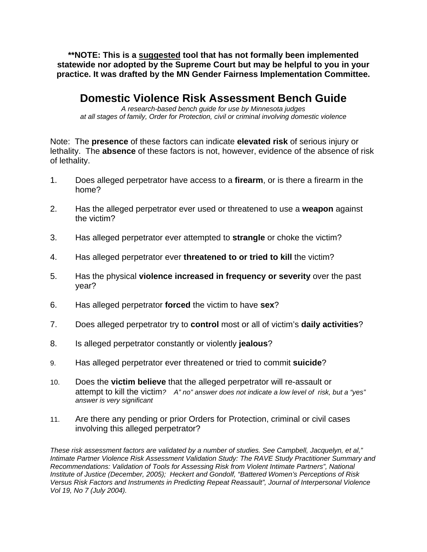**\*\*NOTE: This is a suggested tool that has not formally been implemented statewide nor adopted by the Supreme Court but may be helpful to you in your practice. It was drafted by the MN Gender Fairness Implementation Committee.** 

## **Domestic Violence Risk Assessment Bench Guide**

*A research-based bench guide for use by Minnesota judges at all stages of family, Order for Protection, civil or criminal involving domestic violence* 

Note: The **presence** of these factors can indicate **elevated risk** of serious injury or lethality. The **absence** of these factors is not, however, evidence of the absence of risk of lethality.

- 1. Does alleged perpetrator have access to a **firearm**, or is there a firearm in the home?
- 2. Has the alleged perpetrator ever used or threatened to use a **weapon** against the victim?
- 3. Has alleged perpetrator ever attempted to **strangle** or choke the victim?
- 4. Has alleged perpetrator ever **threatened to or tried to kill** the victim?
- 5. Has the physical **violence increased in frequency or severity** over the past year?
- 6. Has alleged perpetrator **forced** the victim to have **sex**?
- 7. Does alleged perpetrator try to **control** most or all of victim's **daily activities**?
- 8. Is alleged perpetrator constantly or violently **jealous**?
- 9. Has alleged perpetrator ever threatened or tried to commit **suicide**?
- 10. Does the **victim believe** that the alleged perpetrator will re-assault or attempt to kill the victim*? A" no" answer does not indicate a low level of risk, but a "yes" answer is very significant*
- 11. Are there any pending or prior Orders for Protection, criminal or civil cases involving this alleged perpetrator?

*These risk assessment factors are validated by a number of studies. See Campbell, Jacquelyn, et al," Intimate Partner Violence Risk Assessment Validation Study: The RAVE Study Practitioner Summary and Recommendations: Validation of Tools for Assessing Risk from Violent Intimate Partners", National Institute of Justice (December, 2005); Heckert and Gondolf, "Battered Women's Perceptions of Risk Versus Risk Factors and Instruments in Predicting Repeat Reassault", Journal of Interpersonal Violence Vol 19, No 7 (July 2004).*